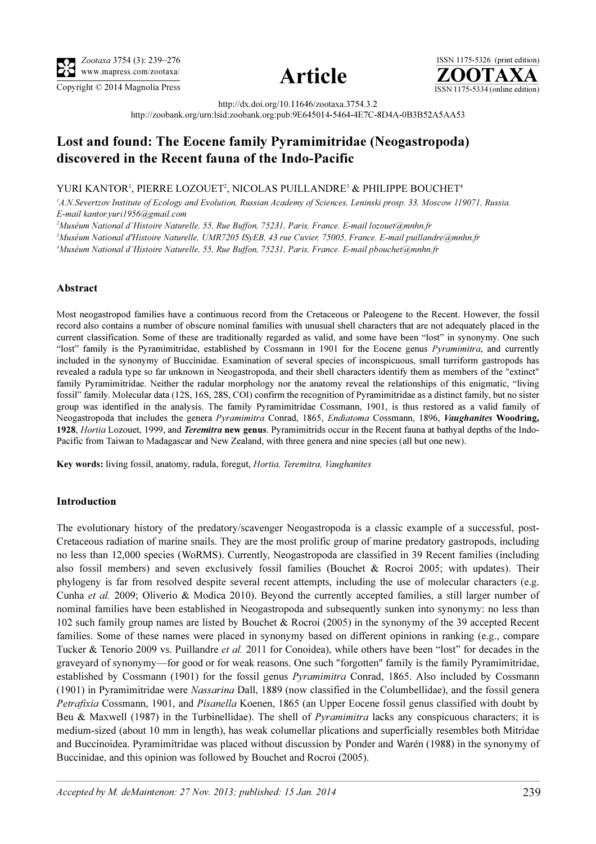





http://dx.doi.org/10.11646/zootaxa.3754.3.2

http://zoobank.org/urn:lsid:zoobank.org:pub:9E645014-5464-4E7C-8D4A-0B3B52A5AA53

# Lost and found: The Eocene family Pyramimitridae (Neogastropoda) discovered in the Recent fauna of the Indo-Pacific

YURI KANTOR<sup>1</sup>, PIERRE LOZOUET<sup>2</sup>, NICOLAS PUILLANDRE<sup>3</sup> & PHILIPPE BOUCHET<sup>4</sup>

<sup>1</sup>A.N.Severtzov Institute of Ecology and Evolution, Russian Academy of Sciences, Leninski prosp. 33, Moscow 119071, Russia. E-mail kantor.yuri1956@gmail.com

2 Muséum National d'Histoire Naturelle, 55, Rue Buffon, 75231, Paris, France. E-mail lozouet@mnhn.fr

3 Muséum National d'Histoire Naturelle, UMR7205 ISyEB, 43 rue Cuvier, 75005, France. E-mail puillandre@mnhn.fr

4 Muséum National d'Histoire Naturelle, 55, Rue Buffon, 75231, Paris, France. E-mail pbouchet@mnhn.fr

## Abstract

Most neogastropod families have a continuous record from the Cretaceous or Paleogene to the Recent. However, the fossil record also contains a number of obscure nominal families with unusual shell characters that are not adequately placed in the current classification. Some of these are traditionally regarded as valid, and some have been "lost" in synonymy. One such "lost" family is the Pyramimitridae, established by Cossmann in 1901 for the Eocene genus Pyramimitra, and currently included in the synonymy of Buccinidae. Examination of several species of inconspicuous, small turriform gastropods has revealed a radula type so far unknown in Neogastropoda, and their shell characters identify them as members of the "extinct" family Pyramimitridae. Neither the radular morphology nor the anatomy reveal the relationships of this enigmatic, "living fossil" family. Molecular data (12S, 16S, 28S, COI) confirm the recognition of Pyramimitridae as a distinct family, but no sister group was identified in the analysis. The family Pyramimitridae Cossmann, 1901, is thus restored as a valid family of Neogastropoda that includes the genera Pyramimitra Conrad, 1865, Endiatoma Cossmann, 1896, Vaughanites Woodring, 1928, Hortia Lozouet, 1999, and Teremitra new genus. Pyramimitrids occur in the Recent fauna at bathyal depths of the Indo-Pacific from Taiwan to Madagascar and New Zealand, with three genera and nine species (all but one new).

Key words: living fossil, anatomy, radula, foregut, Hortia, Teremitra, Vaughanites

## Introduction

The evolutionary history of the predatory/scavenger Neogastropoda is a classic example of a successful, post-Cretaceous radiation of marine snails. They are the most prolific group of marine predatory gastropods, including no less than 12,000 species (WoRMS). Currently, Neogastropoda are classified in 39 Recent families (including also fossil members) and seven exclusively fossil families (Bouchet & Rocroi 2005; with updates). Their phylogeny is far from resolved despite several recent attempts, including the use of molecular characters (e.g. Cunha et al. 2009; Oliverio & Modica 2010). Beyond the currently accepted families, a still larger number of nominal families have been established in Neogastropoda and subsequently sunken into synonymy: no less than 102 such family group names are listed by Bouchet & Rocroi (2005) in the synonymy of the 39 accepted Recent families. Some of these names were placed in synonymy based on different opinions in ranking (e.g., compare Tucker & Tenorio 2009 vs. Puillandre et al. 2011 for Conoidea), while others have been "lost" for decades in the graveyard of synonymy—for good or for weak reasons. One such "forgotten" family is the family Pyramimitridae, established by Cossmann (1901) for the fossil genus Pyramimitra Conrad, 1865. Also included by Cossmann (1901) in Pyramimitridae were Nassarina Dall, 1889 (now classified in the Columbellidae), and the fossil genera Petrafixia Cossmann, 1901, and Pisanella Koenen, 1865 (an Upper Eocene fossil genus classified with doubt by Beu & Maxwell (1987) in the Turbinellidae). The shell of *Pyramimitra* lacks any conspicuous characters; it is medium-sized (about 10 mm in length), has weak columellar plications and superficially resembles both Mitridae and Buccinoidea. Pyramimitridae was placed without discussion by Ponder and Warén (1988) in the synonymy of Buccinidae, and this opinion was followed by Bouchet and Rocroi (2005).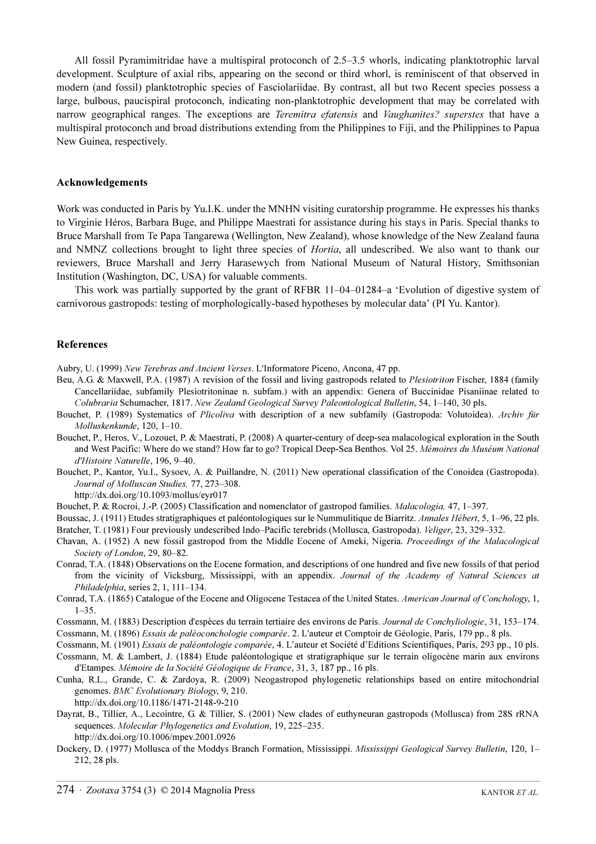All fossil Pyramimitridae have a multispiral protoconch of 2.5–3.5 whorls, indicating planktotrophic larval development. Sculpture of axial ribs, appearing on the second or third whorl, is reminiscent of that observed in modern (and fossil) planktotrophic species of Fasciolariidae. By contrast, all but two Recent species possess a large, bulbous, paucispiral protoconch, indicating non-planktotrophic development that may be correlated with narrow geographical ranges. The exceptions are Teremitra efatensis and Vaughanites? superstes that have a multispiral protoconch and broad distributions extending from the Philippines to Fiji, and the Philippines to Papua New Guinea, respectively.

## Acknowledgements

Work was conducted in Paris by Yu.I.K. under the MNHN visiting curatorship programme. He expresses his thanks to Virginie Héros, Barbara Buge, and Philippe Maestrati for assistance during his stays in Paris. Special thanks to Bruce Marshall from Te Papa Tangarewa (Wellington, New Zealand), whose knowledge of the New Zealand fauna and NMNZ collections brought to light three species of *Hortia*, all undescribed. We also want to thank our reviewers, Bruce Marshall and Jerry Harasewych from National Museum of Natural History, Smithsonian Institution (Washington, DC, USA) for valuable comments.

This work was partially supported by the grant of RFBR 11–04–01284–a 'Evolution of digestive system of carnivorous gastropods: testing of morphologically-based hypotheses by molecular data' (PI Yu. Kantor).

#### References

Aubry, U. (1999) New Terebras and Ancient Verses. L'Informatore Piceno, Ancona, 47 pp.

- Beu, A.G. & Maxwell, P.A. (1987) A revision of the fossil and living gastropods related to Plesiotriton Fischer, 1884 (family Cancellariidae, subfamily Plesiotritoninae n. subfam.) with an appendix: Genera of Buccinidae Pisaniinae related to Colubraria Schumacher, 1817. New Zealand Geological Survey Paleontological Bulletin, 54, 1–140, 30 pls.
- Bouchet, P. (1989) Systematics of Plicoliva with description of a new subfamily (Gastropoda: Volutoidea). Archiv für Molluskenkunde, 120, 1–10.
- Bouchet, P., Heros, V., Lozouet, P. & Maestrati, P. (2008) A quarter-century of deep-sea malacological exploration in the South and West Pacific: Where do we stand? How far to go? Tropical Deep-Sea Benthos. Vol 25. Mémoires du Muséum National d'Histoire Naturelle, 196, 9–40.
- Bouchet, P., Kantor, Yu.I., Sysoev, A. & Puillandre, N. (2011) New operational classification of the Conoidea (Gastropoda). Journal of Molluscan Studies, 77, 273–308.

http://dx.doi.org/10.1093/mollus/eyr017

- Bouchet, P. & Rocroi, J.-P. (2005) Classification and nomenclator of gastropod families. Malacologia, 47, 1–397.
- Boussac, J. (1911) Etudes stratigraphiques et paléontologiques sur le Nummulitique de Biarritz. Annales Hébert, 5, 1–96, 22 pls. Bratcher, T. (1981) Four previously undescribed Indo–Pacific terebrids (Mollusca, Gastropoda). Veliger, 23, 329–332.
- Chavan, A. (1952) A new fossil gastropod from the Middle Eocene of Ameki, Nigeria. Proceedings of the Malacological Society of London, 29, 80–82.
- Conrad, T.A. (1848) Observations on the Eocene formation, and descriptions of one hundred and five new fossils of that period from the vicinity of Vicksburg, Mississippi, with an appendix. Journal of the Academy of Natural Sciences at Philadelphia, series 2, 1, 111–134.
- Conrad, T.A. (1865) Catalogue of the Eocene and Oligocene Testacea of the United States. American Journal of Conchology, 1,  $1-35.$
- Cossmann, M. (1883) Description d'espèces du terrain tertiaire des environs de Paris. Journal de Conchyliologie, 31, 153–174.

Cossmann, M. (1896) Essais de paléoconchologie comparée. 2. L'auteur et Comptoir de Géologie, Paris, 179 pp., 8 pls.

Cossmann, M. (1901) Essais de paléontologie comparée, 4. L'auteur et Société d'Editions Scientifiques, Paris, 293 pp., 10 pls.

- Cossmann, M. & Lambert, J. (1884) Etude paléontologique et stratigraphique sur le terrain oligocène marin aux environs d'Etampes. Mémoire de la Société Géologique de France, 31, 3, 187 pp., 16 pls.
- Cunha, R.L., Grande, C. & Zardoya, R. (2009) Neogastropod phylogenetic relationships based on entire mitochondrial genomes. BMC Evolutionary Biology, 9, 210. http://dx.doi.org/10.1186/1471-2148-9-210
- Dayrat, B., Tillier, A., Lecointre, G. & Tillier, S. (2001) New clades of euthyneuran gastropods (Mollusca) from 28S rRNA sequences. Molecular Phylogenetics and Evolution, 19, 225–235. http://dx.doi.org/10.1006/mpev.2001.0926
- Dockery, D. (1977) Mollusca of the Moddys Branch Formation, Mississippi. Mississippi Geological Survey Bulletin, 120, 1– 212, 28 pls.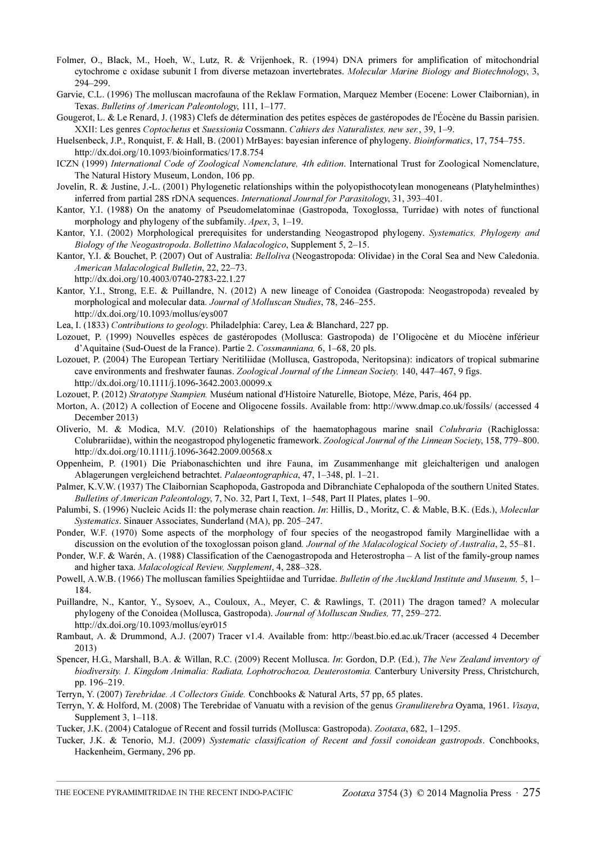- Folmer, O., Black, M., Hoeh, W., Lutz, R. & Vrijenhoek, R. (1994) DNA primers for amplification of mitochondrial cytochrome c oxidase subunit I from diverse metazoan invertebrates. Molecular Marine Biology and Biotechnology, 3, 294–299.
- Garvie, C.L. (1996) The molluscan macrofauna of the Reklaw Formation, Marquez Member (Eocene: Lower Claibornian), in Texas. Bulletins of American Paleontology, 111, 1–177.
- Gougerot, L. & Le Renard, J. (1983) Clefs de détermination des petites espèces de gastéropodes de l'Éocène du Bassin parisien. XXII: Les genres Coptochetus et Suessionia Cossmann. Cahiers des Naturalistes, new ser., 39, 1–9.
- Huelsenbeck, J.P., Ronquist, F. & Hall, B. (2001) MrBayes: bayesian inference of phylogeny. Bioinformatics, 17, 754–755. http://dx.doi.org/10.1093/bioinformatics/17.8.754
- ICZN (1999) International Code of Zoological Nomenclature, 4th edition. International Trust for Zoological Nomenclature, The Natural History Museum, London, 106 pp.
- Jovelin, R. & Justine, J.-L. (2001) Phylogenetic relationships within the polyopisthocotylean monogeneans (Platyhelminthes) inferred from partial 28S rDNA sequences. International Journal for Parasitology, 31, 393–401.
- Kantor, Y.I. (1988) On the anatomy of Pseudomelatominae (Gastropoda, Toxoglossa, Turridae) with notes of functional morphology and phylogeny of the subfamily. Apex, 3, 1–19.
- Kantor, Y.I. (2002) Morphological prerequisites for understanding Neogastropod phylogeny. Systematics, Phylogeny and Biology of the Neogastropoda. Bollettino Malacologico, Supplement 5, 2–15.
- Kantor, Y.I. & Bouchet, P. (2007) Out of Australia: Belloliva (Neogastropoda: Olividae) in the Coral Sea and New Caledonia. American Malacological Bulletin, 22, 22–73.

http://dx.doi.org/10.4003/0740-2783-22.1.27

- Kantor, Y.I., Strong, E.E. & Puillandre, N. (2012) A new lineage of Conoidea (Gastropoda: Neogastropoda) revealed by morphological and molecular data. Journal of Molluscan Studies, 78, 246–255. http://dx.doi.org/10.1093/mollus/eys007
- Lea, I. (1833) Contributions to geology. Philadelphia: Carey, Lea & Blanchard, 227 pp.
- Lozouet, P. (1999) Nouvelles espèces de gastéropodes (Mollusca: Gastropoda) de l'Oligocène et du Miocène inférieur d'Aquitaine (Sud-Ouest de la France). Partie 2. Cossmanniana, 6, 1–68, 20 pls.
- Lozouet, P. (2004) The European Tertiary Neritiliidae (Mollusca, Gastropoda, Neritopsina): indicators of tropical submarine cave environments and freshwater faunas. Zoological Journal of the Linnean Society, 140, 447–467, 9 figs. http://dx.doi.org/10.1111/j.1096-3642.2003.00099.x
- Lozouet, P. (2012) Stratotype Stampien. Muséum national d'Histoire Naturelle, Biotope, Méze, Paris, 464 pp.
- Morton, A. (2012) A collection of Eocene and Oligocene fossils. Available from: http://www.dmap.co.uk/fossils/ (accessed 4 December 2013)
- Oliverio, M. & Modica, M.V. (2010) Relationships of the haematophagous marine snail Colubraria (Rachiglossa: Colubrariidae), within the neogastropod phylogenetic framework. Zoological Journal of the Linnean Society, 158, 779–800. http://dx.doi.org/10.1111/j.1096-3642.2009.00568.x
- Oppenheim, P. (1901) Die Priabonaschichten und ihre Fauna, im Zusammenhange mit gleichalterigen und analogen Ablagerungen vergleichend betrachtet. Palaeontographica, 47, 1–348, pl. 1–21.
- Palmer, K.V.W. (1937) The Claibornian Scaphopoda, Gastropoda and Dibranchiate Cephalopoda of the southern United States. Bulletins of American Paleontology, 7, No. 32, Part I, Text, 1–548, Part II Plates, plates 1–90.
- Palumbi, S. (1996) Nucleic Acids II: the polymerase chain reaction. In: Hillis, D., Moritz, C. & Mable, B.K. (Eds.), Molecular Systematics. Sinauer Associates, Sunderland (MA), pp. 205–247.
- Ponder, W.F. (1970) Some aspects of the morphology of four species of the neogastropod family Marginellidae with a discussion on the evolution of the toxoglossan poison gland. Journal of the Malacological Society of Australia, 2, 55–81.
- Ponder, W.F. & Warén, A. (1988) Classification of the Caenogastropoda and Heterostropha A list of the family-group names and higher taxa. Malacological Review, Supplement, 4, 288–328.
- Powell, A.W.B. (1966) The molluscan families Speightiidae and Turridae. Bulletin of the Auckland Institute and Museum, 5, 1– 184.
- Puillandre, N., Kantor, Y., Sysoev, A., Couloux, A., Meyer, C. & Rawlings, T. (2011) The dragon tamed? A molecular phylogeny of the Conoidea (Mollusca, Gastropoda). Journal of Molluscan Studies, 77, 259–272. http://dx.doi.org/10.1093/mollus/eyr015
- Rambaut, A. & Drummond, A.J. (2007) Tracer v1.4. Available from: http://beast.bio.ed.ac.uk/Tracer (accessed 4 December 2013)
- Spencer, H.G., Marshall, B.A. & Willan, R.C. (2009) Recent Mollusca. In: Gordon, D.P. (Ed.), The New Zealand inventory of biodiversity. 1. Kingdom Animalia: Radiata, Lophotrochozoa, Deuterostomia. Canterbury University Press, Christchurch, pp. 196–219.
- Terryn, Y. (2007) Terebridae. A Collectors Guide. Conchbooks & Natural Arts, 57 pp, 65 plates.
- Terryn, Y. & Holford, M. (2008) The Terebridae of Vanuatu with a revision of the genus Granuliterebra Oyama, 1961. Visaya, Supplement 3, 1–118.
- Tucker, J.K. (2004) Catalogue of Recent and fossil turrids (Mollusca: Gastropoda). Zootaxa, 682, 1–1295.
- Tucker, J.K. & Tenorio, M.J. (2009) Systematic classification of Recent and fossil conoidean gastropods. Conchbooks, Hackenheim, Germany, 296 pp.